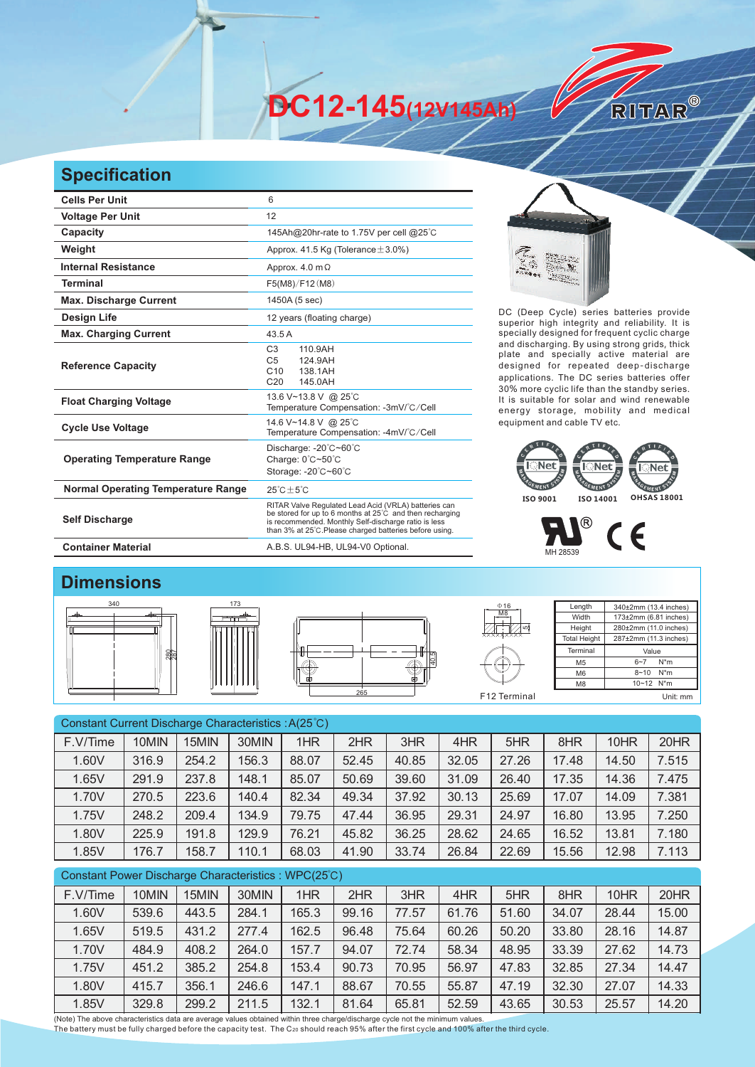**DC12-145(12V145Ah)** 

## **Specification**

| <b>Cells Per Unit</b>                     | 6                                                                                                                                                                                                                                             |  |  |  |  |  |
|-------------------------------------------|-----------------------------------------------------------------------------------------------------------------------------------------------------------------------------------------------------------------------------------------------|--|--|--|--|--|
| <b>Voltage Per Unit</b>                   | 12                                                                                                                                                                                                                                            |  |  |  |  |  |
| <b>Capacity</b>                           | 145Ah@20hr-rate to 1.75V per cell @25°C                                                                                                                                                                                                       |  |  |  |  |  |
| Weight                                    | Approx. 41.5 Kg (Tolerance $\pm$ 3.0%)                                                                                                                                                                                                        |  |  |  |  |  |
| <b>Internal Resistance</b>                | Approx. $4.0 \text{ m}\Omega$                                                                                                                                                                                                                 |  |  |  |  |  |
| <b>Terminal</b>                           | F5(M8)/F12(M8)                                                                                                                                                                                                                                |  |  |  |  |  |
| <b>Max. Discharge Current</b>             | 1450A (5 sec)                                                                                                                                                                                                                                 |  |  |  |  |  |
| <b>Design Life</b>                        | 12 years (floating charge)                                                                                                                                                                                                                    |  |  |  |  |  |
| <b>Max. Charging Current</b>              | 43.5 A                                                                                                                                                                                                                                        |  |  |  |  |  |
| <b>Reference Capacity</b>                 | C <sub>3</sub><br>110.9AH<br>C <sub>5</sub><br>124.9AH<br>C <sub>10</sub><br>138 1AH<br>C <sub>20</sub><br>145.0AH                                                                                                                            |  |  |  |  |  |
| <b>Float Charging Voltage</b>             | 13.6 V~13.8 V @ 25°C<br>Temperature Compensation: -3mV/°C/Cell                                                                                                                                                                                |  |  |  |  |  |
| <b>Cycle Use Voltage</b>                  | 14.6 V~14.8 V @ 25°C<br>Temperature Compensation: -4mV/°C/Cell                                                                                                                                                                                |  |  |  |  |  |
| <b>Operating Temperature Range</b>        | Discharge: -20°C~60°C<br>Charge: $0^{\circ}$ C~50 $^{\circ}$ C<br>Storage: -20°C~60°C                                                                                                                                                         |  |  |  |  |  |
| <b>Normal Operating Temperature Range</b> | $25^{\circ}$ C + 5 $^{\circ}$ C                                                                                                                                                                                                               |  |  |  |  |  |
| <b>Self Discharge</b>                     | RITAR Valve Regulated Lead Acid (VRLA) batteries can<br>be stored for up to 6 months at $25^{\circ}$ C and then recharging<br>is recommended. Monthly Self-discharge ratio is less<br>than 3% at 25°C. Please charged batteries before using. |  |  |  |  |  |



DC (Deep Cycle) series batteries provide superior high integrity and reliability. It is specially designed for frequent cyclic charge and discharging. By using strong grids, thick plate and specially active material are designed for repeated deep-discharge applications. The DC series batteries offer 30% more cyclic life than the standby series. It is suitable for solar and wind renewable energy storage, mobility and medical equipment and cable TV etc.

RITAR®



## $\circledR$  $C \in$ MH 28539

## **Dimensions**





**Container Material** A.B.S. UL94-HB, UL94-V0 Optional.





55

 $016$ 

**Length** Width Height **Total Height** 340±2mm (13.4 inches) 173±2mm (6.81 inches) 280±2mm (11.0 inches) 287±2mm (11.3 inches) **Terminal** M5 M6 M8 Value 6~7 N\*m 8~10 N\*m 10~12 N\*m F12 Terminal Unit: mm

| Constant Current Discharge Characteristics: A(25°C) |                      |                      |          |              |       |         |         |                      |           |           |                                 |
|-----------------------------------------------------|----------------------|----------------------|----------|--------------|-------|---------|---------|----------------------|-----------|-----------|---------------------------------|
| F.V/Time                                            | 10MIN                | 15MIN                | 30MIN    | 1HR          | 2HR   | 3HR     | 4HR     | 5HR                  | 8HR       | 10HR      | 20HR                            |
| 1.60V                                               | 316.9                | 254.2                | 156.3    | 88.07        | 52.45 | 40.85   | 32.05   | 27.26                | 17.48     | 14.50     | 7.515                           |
| 1.65V                                               | 291.9                | 237.8                | 148.1    | 85.07        | 50.69 | 39.60   | 31.09   | 26.40                | 17.35     | 14.36     | 7.475                           |
| 1.70V                                               | 270.5                | 223.6                | 140.4    | 82.34        | 49.34 | 37.92   | 30.13   | 25.69                | 17.07     | 14.09     | 7.381                           |
| 1.75V                                               | 248.2                | 209.4                | 134.9    | 79.75        | 47.44 | 36.95   | 29.31   | 24.97                | 16.80     | 13.95     | 7.250                           |
| 1.80V                                               | 225.9                | 191.8                | 129.9    | 76.21        | 45.82 | 36.25   | 28.62   | 24.65                | 16.52     | 13.81     | 7.180                           |
| 1.85V                                               | 176.7                | 158.7                | 110.1    | 68.03        | 41.90 | 33.74   | 26.84   | 22.69                | 15.56     | 12.98     | 7.113                           |
| Constant Power Discharge Characteristics: WPC(25°C) |                      |                      |          |              |       |         |         |                      |           |           |                                 |
| F.V/Time                                            | 10MIN                | 15MIN                | 30MIN    | 1HR          | 2HR   | 3HR     | 4HR     | 5HR                  | 8HR       | 10HR      | 20HR                            |
| 1.60V                                               | 539.6                | 443.5                | 284.1    | 165.3        | 99.16 | 77.57   | 61.76   | 51.60                | 34.07     | 28.44     | 15.00                           |
| 1.65V                                               | 519.5                | 431.2                | 277.4    | 162.5        | 96.48 | 75.64   | 60.26   | 50.20                | 33.80     | 28.16     | 14.87                           |
| $\cdot$ $ \cdot$ $\cdot$                            | $\sim$ $\sim$ $\sim$ | $\sim$ $\sim$ $\sim$ | $\cdots$ | $\cdot$ $ -$ | $ -$  | $- - -$ | $- - -$ | $\sim$ $\sim$ $\sim$ | $- - - -$ | $- - - -$ | $\cdot$ $\cdot$ $\cdot$ $\cdot$ |

|       |        |        | .     |       | $\cdots$ |       |       |       |       |        |       |
|-------|--------|--------|-------|-------|----------|-------|-------|-------|-------|--------|-------|
| 1.85V | 329.8  | 299.2  | 211.5 | 132.1 | 81.64    | 65.81 | 52.59 | 43.65 | 30.53 | 25.57  | 14.20 |
| 1.80V | 415.7  | 356.1  | 246.6 | 147.1 | 88.67    | 70.55 | 55.87 | 47.19 | 32.30 | 27.07  | 14.33 |
| 1.75V | 451.2  | 385.2  | 254.8 | 153.4 | 90.73    | 70.95 | 56.97 | 47.83 | 32.85 | 27.34  | 14.47 |
| 1.70V | 484.9  | 408.2  | 264.0 | 157.7 | 94.07    | 72.74 | 58.34 | 48.95 | 33.39 | 27.62  | 14.73 |
| 1.05V | 3 19.9 | 43 I.Z | 211.4 | 102.O | 90.40    | 15.04 | O∪.∠O | ⊃∪.∠∪ | 33.OU | ZO. 10 | 14.OT |

(Note) The above characteristics data are average values obtained within three charge/discharge cycle not the minimum values.<br>The battery must be fully charged before the capacity test. The C20 should reach 95% after the